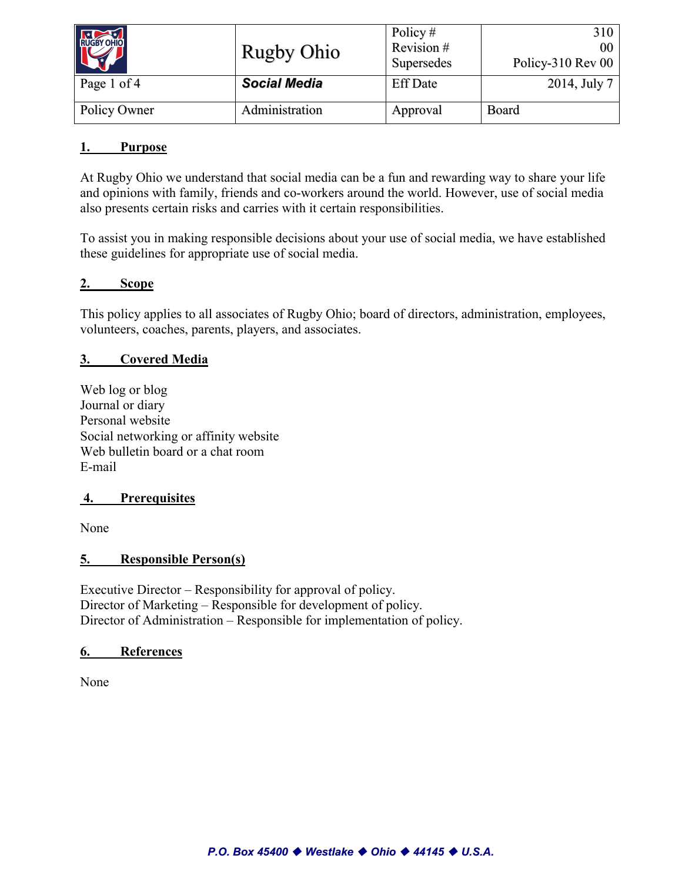| RUGBY OHIO   | <b>Rugby Ohio</b>   | Policy $#$<br>Revision#<br>Supersedes | 310<br>00<br>Policy-310 Rev 00 |
|--------------|---------------------|---------------------------------------|--------------------------------|
| Page 1 of 4  | <b>Social Media</b> | <b>Eff Date</b>                       | 2014, July 7                   |
| Policy Owner | Administration      | Approval                              | Board                          |

## **1. Purpose**

At Rugby Ohio we understand that social media can be a fun and rewarding way to share your life and opinions with family, friends and co-workers around the world. However, use of social media also presents certain risks and carries with it certain responsibilities.

To assist you in making responsible decisions about your use of social media, we have established these guidelines for appropriate use of social media.

## **2. Scope**

This policy applies to all associates of Rugby Ohio; board of directors, administration, employees, volunteers, coaches, parents, players, and associates.

## **3. Covered Media**

Web log or blog Journal or diary Personal website Social networking or affinity website Web bulletin board or a chat room E-mail

### **4. Prerequisites**

None

### **5. Responsible Person(s)**

Executive Director – Responsibility for approval of policy. Director of Marketing – Responsible for development of policy. Director of Administration – Responsible for implementation of policy.

### **6. References**

None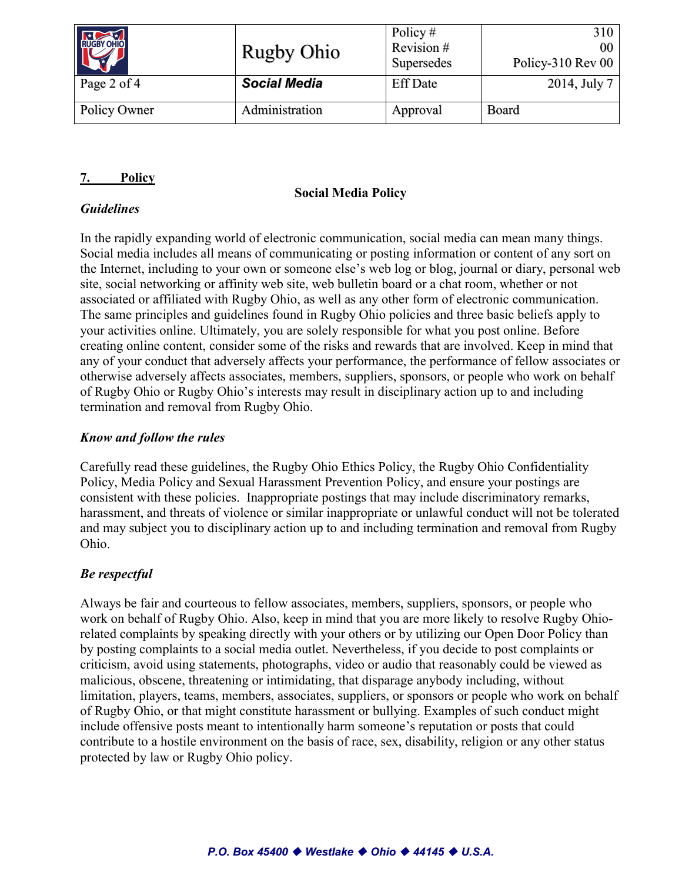| RUGBY OHIO   | <b>Rugby Ohio</b>   | Policy $#$<br>Revision #<br>Supersedes | 310<br>00<br>Policy-310 Rev 00 |
|--------------|---------------------|----------------------------------------|--------------------------------|
| Page 2 of 4  | <b>Social Media</b> | <b>Eff Date</b>                        | 2014, July 7                   |
| Policy Owner | Administration      | Approval                               | Board                          |

# **7. Policy**

# **Social Media Policy**

# *Guidelines*

In the rapidly expanding world of electronic communication, social media can mean many things. Social media includes all means of communicating or posting information or content of any sort on the Internet, including to your own or someone else's web log or blog, journal or diary, personal web site, social networking or affinity web site, web bulletin board or a chat room, whether or not associated or affiliated with Rugby Ohio, as well as any other form of electronic communication. The same principles and guidelines found in Rugby Ohio policies and three basic beliefs apply to your activities online. Ultimately, you are solely responsible for what you post online. Before creating online content, consider some of the risks and rewards that are involved. Keep in mind that any of your conduct that adversely affects your performance, the performance of fellow associates or otherwise adversely affects associates, members, suppliers, sponsors, or people who work on behalf of Rugby Ohio or Rugby Ohio's interests may result in disciplinary action up to and including termination and removal from Rugby Ohio.

# *Know and follow the rules*

Carefully read these guidelines, the Rugby Ohio Ethics Policy, the Rugby Ohio Confidentiality Policy, Media Policy and Sexual Harassment Prevention Policy, and ensure your postings are consistent with these policies. Inappropriate postings that may include discriminatory remarks, harassment, and threats of violence or similar inappropriate or unlawful conduct will not be tolerated and may subject you to disciplinary action up to and including termination and removal from Rugby Ohio.

# *Be respectful*

Always be fair and courteous to fellow associates, members, suppliers, sponsors, or people who work on behalf of Rugby Ohio. Also, keep in mind that you are more likely to resolve Rugby Ohiorelated complaints by speaking directly with your others or by utilizing our Open Door Policy than by posting complaints to a social media outlet. Nevertheless, if you decide to post complaints or criticism, avoid using statements, photographs, video or audio that reasonably could be viewed as malicious, obscene, threatening or intimidating, that disparage anybody including, without limitation, players, teams, members, associates, suppliers, or sponsors or people who work on behalf of Rugby Ohio, or that might constitute harassment or bullying. Examples of such conduct might include offensive posts meant to intentionally harm someone's reputation or posts that could contribute to a hostile environment on the basis of race, sex, disability, religion or any other status protected by law or Rugby Ohio policy.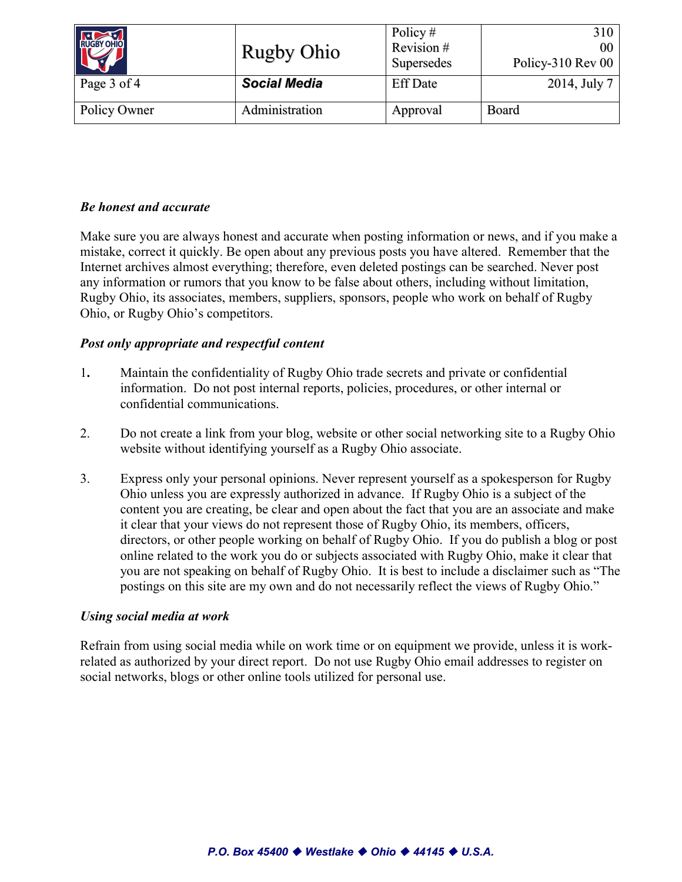| RUGBY OHIO   | <b>Rugby Ohio</b>   | Policy#<br>Revision #<br>Supersedes | 310<br>00<br>Policy-310 Rev 00 |
|--------------|---------------------|-------------------------------------|--------------------------------|
| Page 3 of 4  | <b>Social Media</b> | <b>Eff Date</b>                     | 2014, July 7                   |
| Policy Owner | Administration      | Approval                            | Board                          |

## *Be honest and accurate*

Make sure you are always honest and accurate when posting information or news, and if you make a mistake, correct it quickly. Be open about any previous posts you have altered. Remember that the Internet archives almost everything; therefore, even deleted postings can be searched. Never post any information or rumors that you know to be false about others, including without limitation, Rugby Ohio, its associates, members, suppliers, sponsors, people who work on behalf of Rugby Ohio, or Rugby Ohio's competitors.

## *Post only appropriate and respectful content*

- 1**.** Maintain the confidentiality of Rugby Ohio trade secrets and private or confidential information. Do not post internal reports, policies, procedures, or other internal or confidential communications.
- 2. Do not create a link from your blog, website or other social networking site to a Rugby Ohio website without identifying yourself as a Rugby Ohio associate.
- 3. Express only your personal opinions. Never represent yourself as a spokesperson for Rugby Ohio unless you are expressly authorized in advance. If Rugby Ohio is a subject of the content you are creating, be clear and open about the fact that you are an associate and make it clear that your views do not represent those of Rugby Ohio, its members, officers, directors, or other people working on behalf of Rugby Ohio. If you do publish a blog or post online related to the work you do or subjects associated with Rugby Ohio, make it clear that you are not speaking on behalf of Rugby Ohio. It is best to include a disclaimer such as "The postings on this site are my own and do not necessarily reflect the views of Rugby Ohio."

### *Using social media at work*

Refrain from using social media while on work time or on equipment we provide, unless it is workrelated as authorized by your direct report. Do not use Rugby Ohio email addresses to register on social networks, blogs or other online tools utilized for personal use.